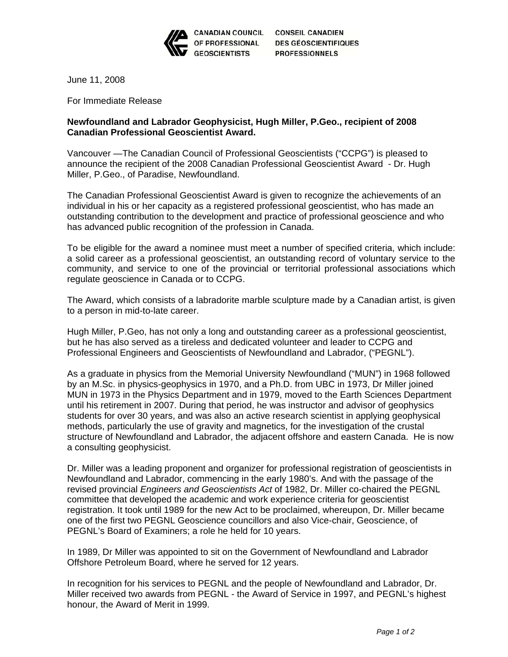

CANADIAN COUNCIL CONSEIL CANADIEN **DES GÉOSCIENTIFIQUES PROFESSIONNELS** 

June 11, 2008

For Immediate Release

## **Newfoundland and Labrador Geophysicist, Hugh Miller, P.Geo., recipient of 2008 Canadian Professional Geoscientist Award.**

Vancouver —The Canadian Council of Professional Geoscientists ("CCPG") is pleased to announce the recipient of the 2008 Canadian Professional Geoscientist Award - Dr. Hugh Miller, P.Geo., of Paradise, Newfoundland.

The Canadian Professional Geoscientist Award is given to recognize the achievements of an individual in his or her capacity as a registered professional geoscientist, who has made an outstanding contribution to the development and practice of professional geoscience and who has advanced public recognition of the profession in Canada.

To be eligible for the award a nominee must meet a number of specified criteria, which include: a solid career as a professional geoscientist, an outstanding record of voluntary service to the community, and service to one of the provincial or territorial professional associations which regulate geoscience in Canada or to CCPG.

The Award, which consists of a labradorite marble sculpture made by a Canadian artist, is given to a person in mid-to-late career.

Hugh Miller, P.Geo, has not only a long and outstanding career as a professional geoscientist, but he has also served as a tireless and dedicated volunteer and leader to CCPG and Professional Engineers and Geoscientists of Newfoundland and Labrador, ("PEGNL").

As a graduate in physics from the Memorial University Newfoundland ("MUN") in 1968 followed by an M.Sc. in physics-geophysics in 1970, and a Ph.D. from UBC in 1973, Dr Miller joined MUN in 1973 in the Physics Department and in 1979, moved to the Earth Sciences Department until his retirement in 2007. During that period, he was instructor and advisor of geophysics students for over 30 years, and was also an active research scientist in applying geophysical methods, particularly the use of gravity and magnetics, for the investigation of the crustal structure of Newfoundland and Labrador, the adjacent offshore and eastern Canada. He is now a consulting geophysicist.

Dr. Miller was a leading proponent and organizer for professional registration of geoscientists in Newfoundland and Labrador, commencing in the early 1980's. And with the passage of the revised provincial *Engineers and Geoscientists Act* of 1982, Dr. Miller co-chaired the PEGNL committee that developed the academic and work experience criteria for geoscientist registration. It took until 1989 for the new Act to be proclaimed, whereupon, Dr. Miller became one of the first two PEGNL Geoscience councillors and also Vice-chair, Geoscience, of PEGNL's Board of Examiners; a role he held for 10 years.

In 1989, Dr Miller was appointed to sit on the Government of Newfoundland and Labrador Offshore Petroleum Board, where he served for 12 years.

In recognition for his services to PEGNL and the people of Newfoundland and Labrador, Dr. Miller received two awards from PEGNL - the Award of Service in 1997, and PEGNL's highest honour, the Award of Merit in 1999.